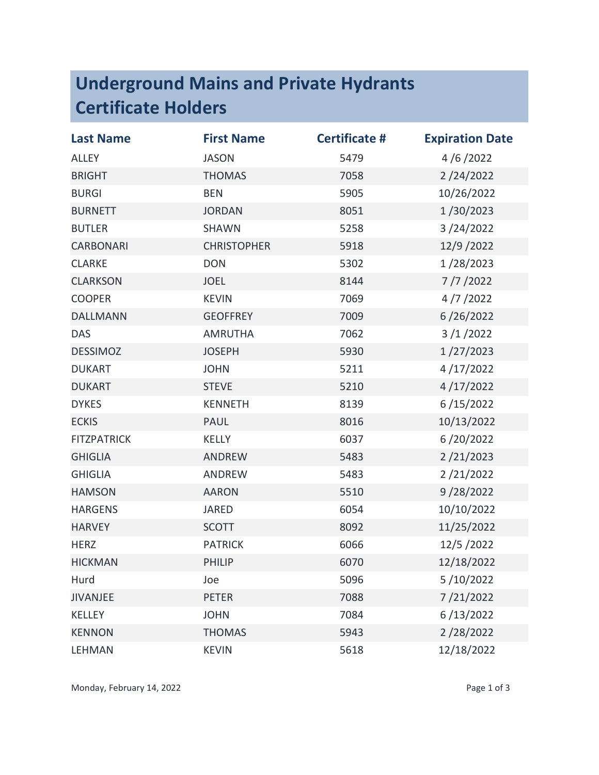## **Underground Mains and Private Hydrants Certificate Holders**

| <b>Last Name</b>   | <b>First Name</b>  | Certificate # | <b>Expiration Date</b> |
|--------------------|--------------------|---------------|------------------------|
| <b>ALLEY</b>       | <b>JASON</b>       | 5479          | 4/6/2022               |
| <b>BRIGHT</b>      | <b>THOMAS</b>      | 7058          | 2/24/2022              |
| <b>BURGI</b>       | <b>BEN</b>         | 5905          | 10/26/2022             |
| <b>BURNETT</b>     | <b>JORDAN</b>      | 8051          | 1/30/2023              |
| <b>BUTLER</b>      | SHAWN              | 5258          | 3/24/2022              |
| <b>CARBONARI</b>   | <b>CHRISTOPHER</b> | 5918          | 12/9/2022              |
| <b>CLARKE</b>      | <b>DON</b>         | 5302          | 1/28/2023              |
| <b>CLARKSON</b>    | <b>JOEL</b>        | 8144          | 7/7/2022               |
| <b>COOPER</b>      | <b>KEVIN</b>       | 7069          | 4/7/2022               |
| <b>DALLMANN</b>    | <b>GEOFFREY</b>    | 7009          | 6/26/2022              |
| <b>DAS</b>         | <b>AMRUTHA</b>     | 7062          | 3/1/2022               |
| <b>DESSIMOZ</b>    | <b>JOSEPH</b>      | 5930          | 1/27/2023              |
| <b>DUKART</b>      | <b>JOHN</b>        | 5211          | 4/17/2022              |
| <b>DUKART</b>      | <b>STEVE</b>       | 5210          | 4/17/2022              |
| <b>DYKES</b>       | <b>KENNETH</b>     | 8139          | 6/15/2022              |
| <b>ECKIS</b>       | <b>PAUL</b>        | 8016          | 10/13/2022             |
| <b>FITZPATRICK</b> | <b>KELLY</b>       | 6037          | 6/20/2022              |
| <b>GHIGLIA</b>     | <b>ANDREW</b>      | 5483          | 2/21/2023              |
| <b>GHIGLIA</b>     | ANDREW             | 5483          | 2/21/2022              |
| <b>HAMSON</b>      | <b>AARON</b>       | 5510          | 9/28/2022              |
| <b>HARGENS</b>     | <b>JARED</b>       | 6054          | 10/10/2022             |
| <b>HARVEY</b>      | <b>SCOTT</b>       | 8092          | 11/25/2022             |
| <b>HERZ</b>        | <b>PATRICK</b>     | 6066          | 12/5/2022              |
| <b>HICKMAN</b>     | <b>PHILIP</b>      | 6070          | 12/18/2022             |
| Hurd               | Joe                | 5096          | 5/10/2022              |
| <b>JIVANJEE</b>    | <b>PETER</b>       | 7088          | 7/21/2022              |
| <b>KELLEY</b>      | <b>JOHN</b>        | 7084          | 6/13/2022              |
| <b>KENNON</b>      | <b>THOMAS</b>      | 5943          | 2/28/2022              |
| <b>LEHMAN</b>      | <b>KEVIN</b>       | 5618          | 12/18/2022             |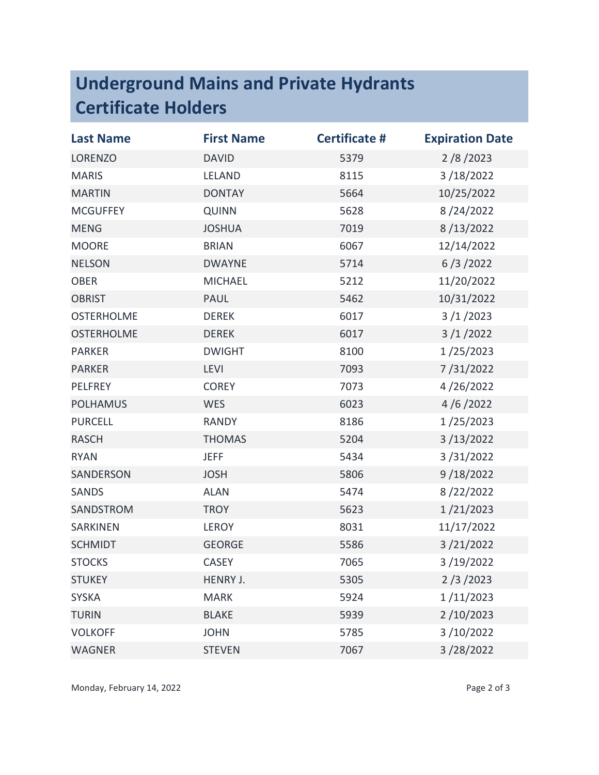## **Underground Mains and Private Hydrants Certificate Holders**

| <b>Last Name</b>  | <b>First Name</b> | <b>Certificate #</b> | <b>Expiration Date</b> |
|-------------------|-------------------|----------------------|------------------------|
| <b>LORENZO</b>    | <b>DAVID</b>      | 5379                 | 2/8/2023               |
| <b>MARIS</b>      | <b>LELAND</b>     | 8115                 | 3/18/2022              |
| <b>MARTIN</b>     | <b>DONTAY</b>     | 5664                 | 10/25/2022             |
| <b>MCGUFFEY</b>   | <b>QUINN</b>      | 5628                 | 8/24/2022              |
| <b>MENG</b>       | <b>JOSHUA</b>     | 7019                 | 8/13/2022              |
| <b>MOORE</b>      | <b>BRIAN</b>      | 6067                 | 12/14/2022             |
| <b>NELSON</b>     | <b>DWAYNE</b>     | 5714                 | 6/3/2022               |
| <b>OBER</b>       | <b>MICHAEL</b>    | 5212                 | 11/20/2022             |
| <b>OBRIST</b>     | <b>PAUL</b>       | 5462                 | 10/31/2022             |
| <b>OSTERHOLME</b> | <b>DEREK</b>      | 6017                 | 3/1/2023               |
| <b>OSTERHOLME</b> | <b>DEREK</b>      | 6017                 | 3/1/2022               |
| <b>PARKER</b>     | <b>DWIGHT</b>     | 8100                 | 1/25/2023              |
| <b>PARKER</b>     | <b>LEVI</b>       | 7093                 | 7/31/2022              |
| PELFREY           | <b>COREY</b>      | 7073                 | 4/26/2022              |
| <b>POLHAMUS</b>   | <b>WES</b>        | 6023                 | 4/6/2022               |
| <b>PURCELL</b>    | <b>RANDY</b>      | 8186                 | 1/25/2023              |
| <b>RASCH</b>      | <b>THOMAS</b>     | 5204                 | 3/13/2022              |
| <b>RYAN</b>       | <b>JEFF</b>       | 5434                 | 3/31/2022              |
| SANDERSON         | <b>JOSH</b>       | 5806                 | 9/18/2022              |
| <b>SANDS</b>      | <b>ALAN</b>       | 5474                 | 8/22/2022              |
| SANDSTROM         | <b>TROY</b>       | 5623                 | 1/21/2023              |
| <b>SARKINEN</b>   | <b>LEROY</b>      | 8031                 | 11/17/2022             |
| <b>SCHMIDT</b>    | <b>GEORGE</b>     | 5586                 | 3/21/2022              |
| <b>STOCKS</b>     | <b>CASEY</b>      | 7065                 | 3/19/2022              |
| <b>STUKEY</b>     | <b>HENRY J.</b>   | 5305                 | 2/3/2023               |
| <b>SYSKA</b>      | <b>MARK</b>       | 5924                 | 1/11/2023              |
| <b>TURIN</b>      | <b>BLAKE</b>      | 5939                 | 2/10/2023              |
| <b>VOLKOFF</b>    | <b>JOHN</b>       | 5785                 | 3/10/2022              |
| <b>WAGNER</b>     | <b>STEVEN</b>     | 7067                 | 3/28/2022              |